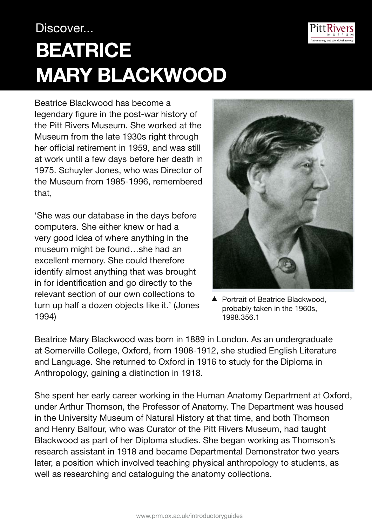## Discover... **BeATRICE MARY BLACKWOOD**

Beatrice Blackwood has become a legendary figure in the post-war history of the Pitt Rivers Museum. She worked at the Museum from the late 1930s right through her official retirement in 1959, and was still at work until a few days before her death in 1975. Schuyler Jones, who was Director of the Museum from 1985-1996, remembered that,

'She was our database in the days before computers. She either knew or had a very good idea of where anything in the museum might be found…she had an excellent memory. She could therefore identify almost anything that was brought in for identification and go directly to the relevant section of our own collections to turn up half a dozen objects like it.' (Jones 1994)

▲ Portrait of Beatrice Blackwood, probably taken in the 1960s,

1998.356.1

Beatrice Mary Blackwood was born in 1889 in London. As an undergraduate at Somerville College, Oxford, from 1908-1912, she studied English Literature and Language. She returned to Oxford in 1916 to study for the Diploma in Anthropology, gaining a distinction in 1918.

She spent her early career working in the Human Anatomy Department at Oxford, under Arthur Thomson, the Professor of Anatomy. The Department was housed in the University Museum of Natural History at that time, and both Thomson and Henry Balfour, who was Curator of the Pitt Rivers Museum, had taught Blackwood as part of her Diploma studies. She began working as Thomson's research assistant in 1918 and became Departmental Demonstrator two years later, a position which involved teaching physical anthropology to students, as well as researching and cataloguing the anatomy collections.



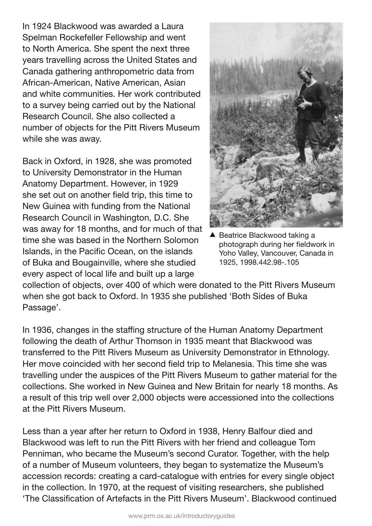In 1924 Blackwood was awarded a Laura Spelman Rockefeller Fellowship and went to North America. She spent the next three years travelling across the United States and Canada gathering anthropometric data from African-American, Native American, Asian and white communities. Her work contributed to a survey being carried out by the National Research Council. She also collected a number of objects for the Pitt Rivers Museum while she was away.

Back in Oxford, in 1928, she was promoted to University Demonstrator in the Human Anatomy Department. However, in 1929 she set out on another field trip, this time to New Guinea with funding from the National Research Council in Washington, D.C. She was away for 18 months, and for much of that time she was based in the Northern Solomon Islands, in the Pacific Ocean, on the islands of Buka and Bougainville, where she studied every aspect of local life and built up a large



▲ Beatrice Blackwood taking a photograph during her fieldwork in Yoho Valley, Vancouver, Canada in 1925, 1998.442.98-.105

collection of objects, over 400 of which were donated to the Pitt Rivers Museum when she got back to Oxford. In 1935 she published 'Both Sides of Buka Passage'.

In 1936, changes in the staffing structure of the Human Anatomy Department following the death of Arthur Thomson in 1935 meant that Blackwood was transferred to the Pitt Rivers Museum as University Demonstrator in Ethnology. Her move coincided with her second field trip to Melanesia. This time she was travelling under the auspices of the Pitt Rivers Museum to gather material for the collections. She worked in New Guinea and New Britain for nearly 18 months. As a result of this trip well over 2,000 objects were accessioned into the collections at the Pitt Rivers Museum.

Less than a year after her return to Oxford in 1938, Henry Balfour died and Blackwood was left to run the Pitt Rivers with her friend and colleague Tom Penniman, who became the Museum's second Curator. Together, with the help of a number of Museum volunteers, they began to systematize the Museum's accession records: creating a card-catalogue with entries for every single object in the collection. In 1970, at the request of visiting researchers, she published 'The Classification of Artefacts in the Pitt Rivers Museum'. Blackwood continued